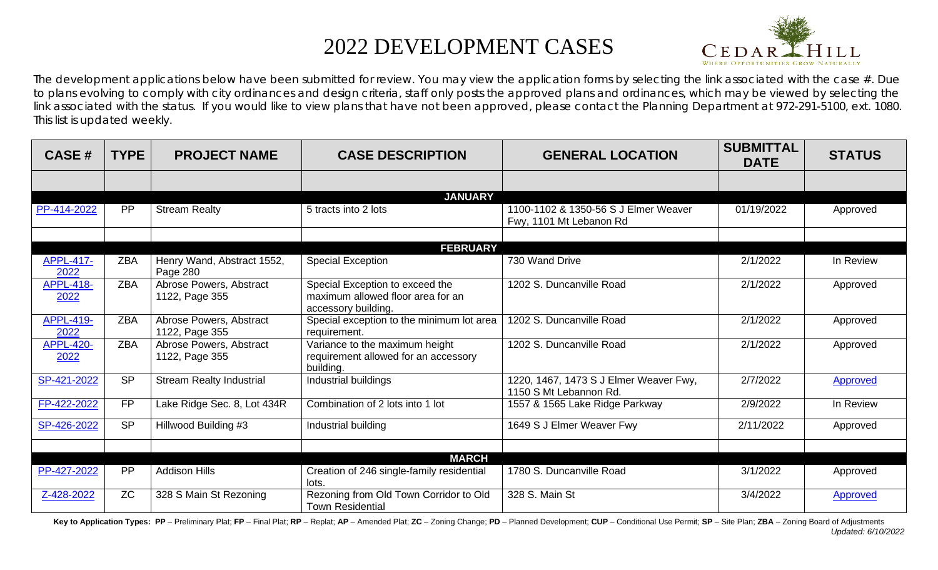## 2022 DEVELOPMENT CASES



The development applications below have been submitted for review. You may view the application forms by selecting the link associated with the case  $#$ . Due to plans evolving to comply with city ordinances and design criteria, staff only posts the approved plans and ordinances, which may be viewed by selecting the link associated with the status. If you would like to view plans that have not been approved, please contact the Planning Department at 972-291-5100, ext. 1080. This list is updated weekly.

| <b>CASE#</b>             | <b>TYPE</b> | <b>PROJECT NAME</b>                       | <b>CASE DESCRIPTION</b>                                                                     | <b>GENERAL LOCATION</b>                                          | <b>SUBMITTAL</b><br><b>DATE</b> | <b>STATUS</b>   |
|--------------------------|-------------|-------------------------------------------|---------------------------------------------------------------------------------------------|------------------------------------------------------------------|---------------------------------|-----------------|
|                          |             |                                           |                                                                                             |                                                                  |                                 |                 |
|                          |             |                                           | <b>JANUARY</b>                                                                              |                                                                  |                                 |                 |
| PP-414-2022              | PP          | <b>Stream Realty</b>                      | 5 tracts into 2 lots                                                                        | 1100-1102 & 1350-56 S J Elmer Weaver<br>Fwy, 1101 Mt Lebanon Rd  | 01/19/2022                      | Approved        |
|                          |             |                                           | <b>FEBRUARY</b>                                                                             |                                                                  |                                 |                 |
| <b>APPL-417-</b><br>2022 | <b>ZBA</b>  | Henry Wand, Abstract 1552,<br>Page 280    | <b>Special Exception</b>                                                                    | 730 Wand Drive                                                   | 2/1/2022                        | In Review       |
| <b>APPL-418-</b><br>2022 | <b>ZBA</b>  | Abrose Powers, Abstract<br>1122, Page 355 | Special Exception to exceed the<br>maximum allowed floor area for an<br>accessory building. | 1202 S. Duncanville Road                                         | 2/1/2022                        | Approved        |
| <b>APPL-419-</b><br>2022 | <b>ZBA</b>  | Abrose Powers, Abstract<br>1122, Page 355 | Special exception to the minimum lot area<br>requirement.                                   | 1202 S. Duncanville Road                                         | 2/1/2022                        | Approved        |
| <b>APPL-420-</b><br>2022 | <b>ZBA</b>  | Abrose Powers, Abstract<br>1122, Page 355 | Variance to the maximum height<br>requirement allowed for an accessory<br>building.         | 1202 S. Duncanville Road                                         | 2/1/2022                        | Approved        |
| SP-421-2022              | <b>SP</b>   | <b>Stream Realty Industrial</b>           | Industrial buildings                                                                        | 1220, 1467, 1473 S J Elmer Weaver Fwy,<br>1150 S Mt Lebannon Rd. | 2/7/2022                        | Approved        |
| FP-422-2022              | <b>FP</b>   | Lake Ridge Sec. 8, Lot 434R               | Combination of 2 lots into 1 lot                                                            | 1557 & 1565 Lake Ridge Parkway                                   | 2/9/2022                        | In Review       |
| SP-426-2022              | <b>SP</b>   | Hillwood Building #3                      | Industrial building                                                                         | 1649 S J Elmer Weaver Fwy                                        | 2/11/2022                       | Approved        |
|                          |             |                                           | <b>MARCH</b>                                                                                |                                                                  |                                 |                 |
| PP-427-2022              | PP          | <b>Addison Hills</b>                      | Creation of 246 single-family residential<br>lots.                                          | 1780 S. Duncanville Road                                         | 3/1/2022                        | Approved        |
| Z-428-2022               | <b>ZC</b>   | 328 S Main St Rezoning                    | Rezoning from Old Town Corridor to Old<br><b>Town Residential</b>                           | 328 S. Main St                                                   | 3/4/2022                        | <b>Approved</b> |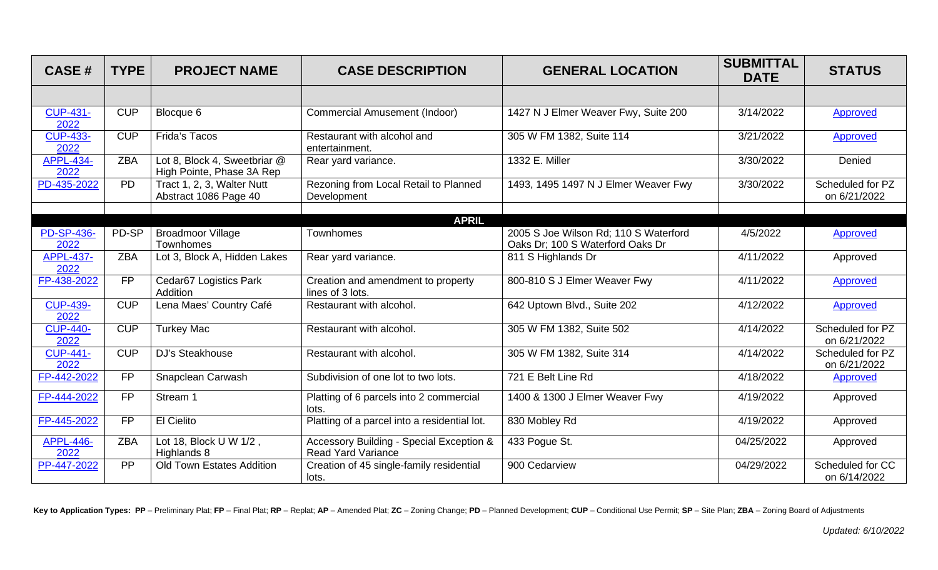| <b>CASE#</b>              | <b>TYPE</b> | <b>PROJECT NAME</b>                                       | <b>CASE DESCRIPTION</b>                                               | <b>GENERAL LOCATION</b>                                                   | <b>SUBMITTAL</b><br><b>DATE</b> | <b>STATUS</b>                    |
|---------------------------|-------------|-----------------------------------------------------------|-----------------------------------------------------------------------|---------------------------------------------------------------------------|---------------------------------|----------------------------------|
|                           |             |                                                           |                                                                       |                                                                           |                                 |                                  |
| <b>CUP-431-</b><br>2022   | <b>CUP</b>  | Blocque 6                                                 | <b>Commercial Amusement (Indoor)</b>                                  | 1427 N J Elmer Weaver Fwy, Suite 200                                      | 3/14/2022                       | <b>Approved</b>                  |
| <b>CUP-433-</b><br>2022   | <b>CUP</b>  | <b>Frida's Tacos</b>                                      | Restaurant with alcohol and<br>entertainment.                         | 305 W FM 1382, Suite 114                                                  | 3/21/2022                       | Approved                         |
| <b>APPL-434-</b><br>2022  | <b>ZBA</b>  | Lot 8, Block 4, Sweetbriar @<br>High Pointe, Phase 3A Rep | Rear yard variance.                                                   | 1332 E. Miller                                                            | 3/30/2022                       | Denied                           |
| PD-435-2022               | <b>PD</b>   | Tract 1, 2, 3, Walter Nutt<br>Abstract 1086 Page 40       | Rezoning from Local Retail to Planned<br>Development                  | 1493, 1495 1497 N J Elmer Weaver Fwy                                      | 3/30/2022                       | Scheduled for PZ<br>on 6/21/2022 |
|                           |             |                                                           | <b>APRIL</b>                                                          |                                                                           |                                 |                                  |
| <b>PD-SP-436-</b><br>2022 | PD-SP       | <b>Broadmoor Village</b><br><b>Townhomes</b>              | Townhomes                                                             | 2005 S Joe Wilson Rd; 110 S Waterford<br>Oaks Dr; 100 S Waterford Oaks Dr | 4/5/2022                        | Approved                         |
| <b>APPL-437-</b><br>2022  | <b>ZBA</b>  | Lot 3, Block A, Hidden Lakes                              | Rear yard variance.                                                   | 811 S Highlands Dr                                                        | 4/11/2022                       | Approved                         |
| FP-438-2022               | <b>FP</b>   | Cedar67 Logistics Park<br>Addition                        | Creation and amendment to property<br>lines of 3 lots.                | 800-810 S J Elmer Weaver Fwy                                              | 4/11/2022                       | Approved                         |
| <b>CUP-439-</b><br>2022   | <b>CUP</b>  | Lena Maes' Country Café                                   | Restaurant with alcohol.                                              | 642 Uptown Blvd., Suite 202                                               | 4/12/2022                       | <b>Approved</b>                  |
| <b>CUP-440-</b><br>2022   | <b>CUP</b>  | <b>Turkey Mac</b>                                         | Restaurant with alcohol.                                              | 305 W FM 1382, Suite 502                                                  | 4/14/2022                       | Scheduled for PZ<br>on 6/21/2022 |
| <b>CUP-441-</b><br>2022   | <b>CUP</b>  | DJ's Steakhouse                                           | Restaurant with alcohol.                                              | 305 W FM 1382, Suite 314                                                  | 4/14/2022                       | Scheduled for PZ<br>on 6/21/2022 |
| FP-442-2022               | <b>FP</b>   | Snapclean Carwash                                         | Subdivision of one lot to two lots.                                   | 721 E Belt Line Rd                                                        | 4/18/2022                       | <b>Approved</b>                  |
| FP-444-2022               | <b>FP</b>   | Stream 1                                                  | Platting of 6 parcels into 2 commercial<br>lots.                      | 1400 & 1300 J Elmer Weaver Fwy                                            | 4/19/2022                       | Approved                         |
| FP-445-2022               | <b>FP</b>   | <b>El Cielito</b>                                         | Platting of a parcel into a residential lot.                          | 830 Mobley Rd                                                             | 4/19/2022                       | Approved                         |
| <b>APPL-446-</b><br>2022  | <b>ZBA</b>  | Lot 18, Block U W 1/2,<br>Highlands 8                     | Accessory Building - Special Exception &<br><b>Read Yard Variance</b> | 433 Pogue St.                                                             | 04/25/2022                      | Approved                         |
| PP-447-2022               | PP          | Old Town Estates Addition                                 | Creation of 45 single-family residential<br>lots.                     | 900 Cedarview                                                             | 04/29/2022                      | Scheduled for CC<br>on 6/14/2022 |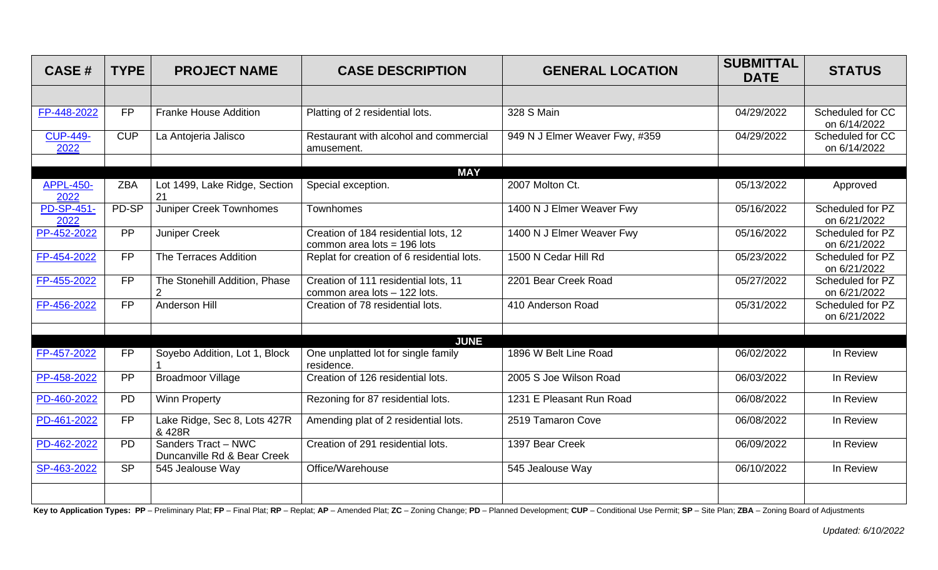| <b>CASE#</b>              | <b>TYPE</b>     | <b>PROJECT NAME</b>                                | <b>CASE DESCRIPTION</b>                                               | <b>GENERAL LOCATION</b>        | <b>SUBMITTAL</b><br><b>DATE</b> | <b>STATUS</b>                    |
|---------------------------|-----------------|----------------------------------------------------|-----------------------------------------------------------------------|--------------------------------|---------------------------------|----------------------------------|
|                           |                 |                                                    |                                                                       |                                |                                 |                                  |
| FP-448-2022               | <b>FP</b>       | <b>Franke House Addition</b>                       | Platting of 2 residential lots.                                       | 328 S Main                     | 04/29/2022                      | Scheduled for CC<br>on 6/14/2022 |
| <b>CUP-449-</b><br>2022   | <b>CUP</b>      | La Antojeria Jalisco                               | Restaurant with alcohol and commercial<br>amusement.                  | 949 N J Elmer Weaver Fwy, #359 | 04/29/2022                      | Scheduled for CC<br>on 6/14/2022 |
|                           |                 |                                                    | <b>MAY</b>                                                            |                                |                                 |                                  |
| <b>APPL-450-</b><br>2022  | <b>ZBA</b>      | Lot 1499, Lake Ridge, Section<br>21                | Special exception.                                                    | 2007 Molton Ct.                | 05/13/2022                      | Approved                         |
| <b>PD-SP-451-</b><br>2022 | PD-SP           | <b>Juniper Creek Townhomes</b>                     | <b>Townhomes</b>                                                      | 1400 N J Elmer Weaver Fwy      | 05/16/2022                      | Scheduled for PZ<br>on 6/21/2022 |
| PP-452-2022               | $\overline{PP}$ | Juniper Creek                                      | Creation of 184 residential lots, 12<br>common area lots = $196$ lots | 1400 N J Elmer Weaver Fwy      | 05/16/2022                      | Scheduled for PZ<br>on 6/21/2022 |
| FP-454-2022               | <b>FP</b>       | The Terraces Addition                              | Replat for creation of 6 residential lots.                            | 1500 N Cedar Hill Rd           | 05/23/2022                      | Scheduled for PZ<br>on 6/21/2022 |
| FP-455-2022               | <b>FP</b>       | The Stonehill Addition, Phase<br>2                 | Creation of 111 residential lots, 11<br>common area lots - 122 lots.  | 2201 Bear Creek Road           | 05/27/2022                      | Scheduled for PZ<br>on 6/21/2022 |
| FP-456-2022               | FP              | <b>Anderson Hill</b>                               | Creation of 78 residential lots.                                      | 410 Anderson Road              | $\overline{05/31}/2022$         | Scheduled for PZ<br>on 6/21/2022 |
|                           |                 |                                                    | <b>JUNE</b>                                                           |                                |                                 |                                  |
| FP-457-2022               | <b>FP</b>       | Soyebo Addition, Lot 1, Block                      | One unplatted lot for single family<br>residence.                     | 1896 W Belt Line Road          | 06/02/2022                      | In Review                        |
| PP-458-2022               | PP              | <b>Broadmoor Village</b>                           | Creation of 126 residential lots.                                     | 2005 S Joe Wilson Road         | 06/03/2022                      | In Review                        |
| PD-460-2022               | <b>PD</b>       | <b>Winn Property</b>                               | Rezoning for 87 residential lots.                                     | 1231 E Pleasant Run Road       | 06/08/2022                      | In Review                        |
| PD-461-2022               | <b>FP</b>       | Lake Ridge, Sec 8, Lots 427R<br>& 428R             | Amending plat of 2 residential lots.                                  | 2519 Tamaron Cove              | 06/08/2022                      | In Review                        |
| PD-462-2022               | PD              | Sanders Tract - NWC<br>Duncanville Rd & Bear Creek | Creation of 291 residential lots.                                     | 1397 Bear Creek                | 06/09/2022                      | In Review                        |
| SP-463-2022               | <b>SP</b>       | 545 Jealouse Way                                   | Office/Warehouse                                                      | 545 Jealouse Way               | 06/10/2022                      | In Review                        |
|                           |                 |                                                    |                                                                       |                                |                                 |                                  |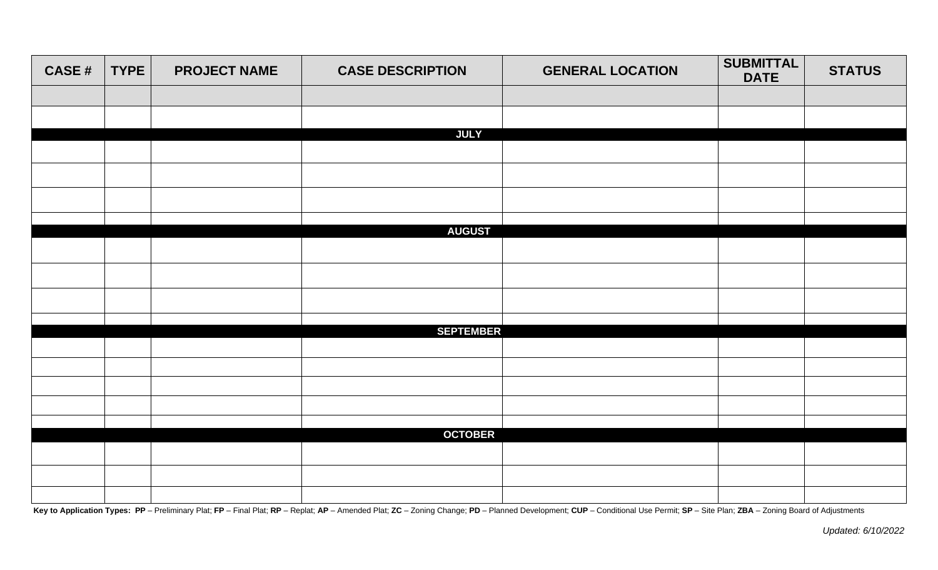| <b>CASE#</b> | <b>TYPE</b> | <b>PROJECT NAME</b> | <b>CASE DESCRIPTION</b> | <b>GENERAL LOCATION</b> | <b>SUBMITTAL</b><br><b>DATE</b> | <b>STATUS</b> |
|--------------|-------------|---------------------|-------------------------|-------------------------|---------------------------------|---------------|
|              |             |                     |                         |                         |                                 |               |
|              |             |                     |                         |                         |                                 |               |
|              |             |                     | <b>JULY</b>             |                         |                                 |               |
|              |             |                     |                         |                         |                                 |               |
|              |             |                     |                         |                         |                                 |               |
|              |             |                     |                         |                         |                                 |               |
|              |             |                     | <b>AUGUST</b>           |                         |                                 |               |
|              |             |                     |                         |                         |                                 |               |
|              |             |                     |                         |                         |                                 |               |
|              |             |                     |                         |                         |                                 |               |
|              |             |                     |                         |                         |                                 |               |
|              |             |                     | <b>SEPTEMBER</b>        |                         |                                 |               |
|              |             |                     |                         |                         |                                 |               |
|              |             |                     |                         |                         |                                 |               |
|              |             |                     |                         |                         |                                 |               |
|              |             |                     |                         |                         |                                 |               |
|              |             |                     |                         |                         |                                 |               |
|              |             |                     | <b>OCTOBER</b>          |                         |                                 |               |
|              |             |                     |                         |                         |                                 |               |
|              |             |                     |                         |                         |                                 |               |
|              |             |                     |                         |                         |                                 |               |